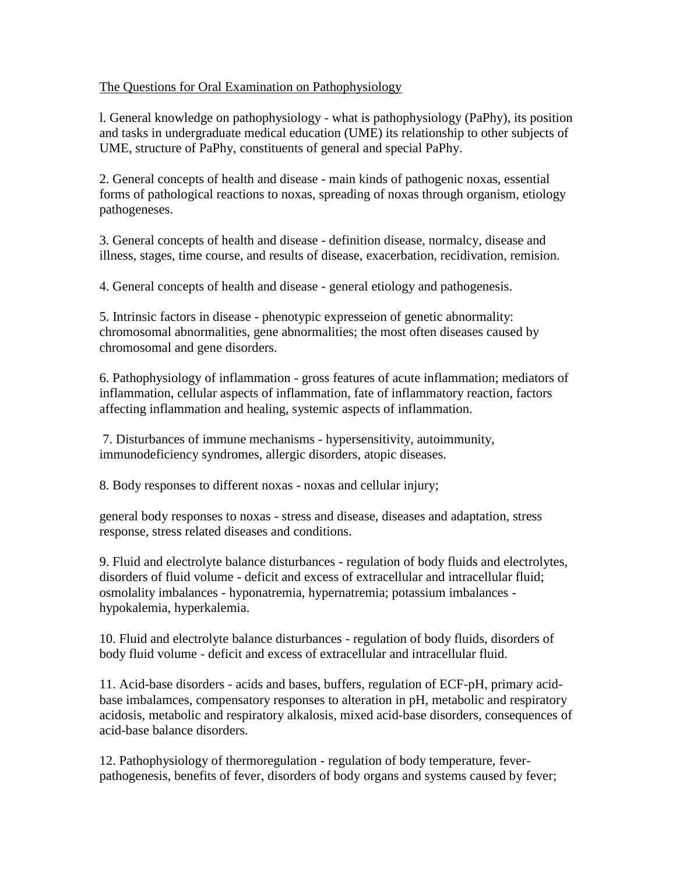## The Questions for Oral Examination on Pathophysiology

l. General knowledge on pathophysiology - what is pathophysiology (PaPhy), its position and tasks in undergraduate medical education (UME) its relationship to other subjects of UME, structure of PaPhy, constituents of general and special PaPhy.

2. General concepts of health and disease - main kinds of pathogenic noxas, essential forms of pathological reactions to noxas, spreading of noxas through organism, etiology pathogeneses.

3. General concepts of health and disease - definition disease, normalcy, disease and illness, stages, time course, and results of disease, exacerbation, recidivation, remision.

4. General concepts of health and disease - general etiology and pathogenesis.

5. Intrinsic factors in disease - phenotypic expresseion of genetic abnormality: chromosomal abnormalities, gene abnormalities; the most often diseases caused by chromosomal and gene disorders.

6. Pathophysiology of inflammation - gross features of acute inflammation; mediators of inflammation, cellular aspects of inflammation, fate of inflammatory reaction, factors affecting inflammation and healing, systemic aspects of inflammation.

7. Disturbances of immune mechanisms - hypersensitivity, autoimmunity, immunodeficiency syndromes, allergic disorders, atopic diseases.

8. Body responses to different noxas - noxas and cellular injury;

general body responses to noxas - stress and disease, diseases and adaptation, stress response, stress related diseases and conditions.

9. Fluid and electrolyte balance disturbances - regulation of body fluids and electrolytes, disorders of fluid volume - deficit and excess of extracellular and intracellular fluid; osmolality imbalances - hyponatremia, hypernatremia; potassium imbalances hypokalemia, hyperkalemia.

10. Fluid and electrolyte balance disturbances - regulation of body fluids, disorders of body fluid volume - deficit and excess of extracellular and intracellular fluid.

11. Acid-base disorders - acids and bases, buffers, regulation of ECF-pH, primary acidbase imbalamces, compensatory responses to alteration in pH, metabolic and respiratory acidosis, metabolic and respiratory alkalosis, mixed acid-base disorders, consequences of acid-base balance disorders.

12. Pathophysiology of thermoregulation - regulation of body temperature, feverpathogenesis, benefits of fever, disorders of body organs and systems caused by fever;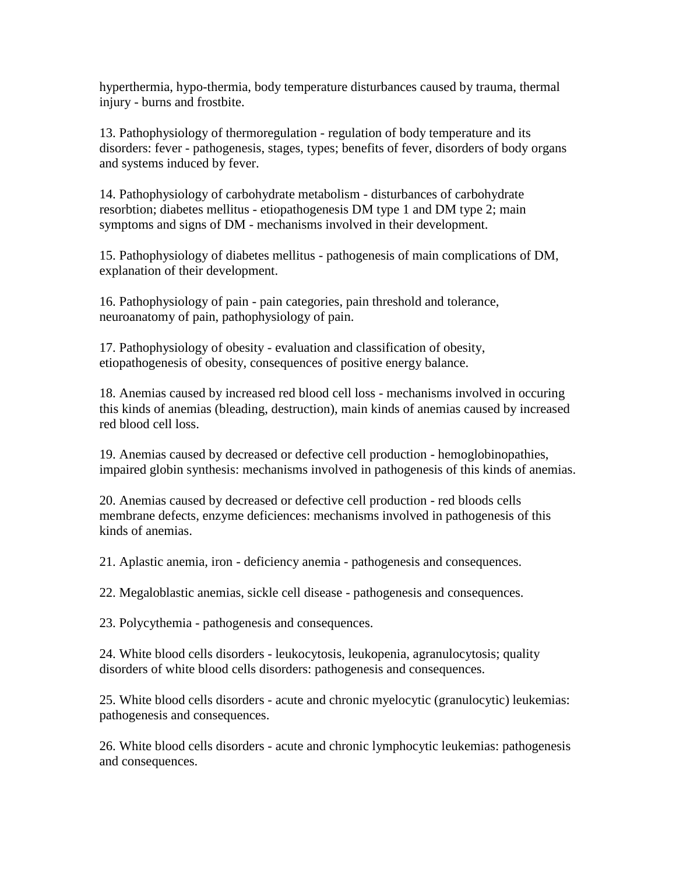hyperthermia, hypo-thermia, body temperature disturbances caused by trauma, thermal injury - burns and frostbite.

13. Pathophysiology of thermoregulation - regulation of body temperature and its disorders: fever - pathogenesis, stages, types; benefits of fever, disorders of body organs and systems induced by fever.

14. Pathophysiology of carbohydrate metabolism - disturbances of carbohydrate resorbtion; diabetes mellitus - etiopathogenesis DM type 1 and DM type 2; main symptoms and signs of DM - mechanisms involved in their development.

15. Pathophysiology of diabetes mellitus - pathogenesis of main complications of DM, explanation of their development.

16. Pathophysiology of pain - pain categories, pain threshold and tolerance, neuroanatomy of pain, pathophysiology of pain.

17. Pathophysiology of obesity - evaluation and classification of obesity, etiopathogenesis of obesity, consequences of positive energy balance.

18. Anemias caused by increased red blood cell loss - mechanisms involved in occuring this kinds of anemias (bleading, destruction), main kinds of anemias caused by increased red blood cell loss.

19. Anemias caused by decreased or defective cell production - hemoglobinopathies, impaired globin synthesis: mechanisms involved in pathogenesis of this kinds of anemias.

20. Anemias caused by decreased or defective cell production - red bloods cells membrane defects, enzyme deficiences: mechanisms involved in pathogenesis of this kinds of anemias.

21. Aplastic anemia, iron - deficiency anemia - pathogenesis and consequences.

22. Megaloblastic anemias, sickle cell disease - pathogenesis and consequences.

23. Polycythemia - pathogenesis and consequences.

24. White blood cells disorders - leukocytosis, leukopenia, agranulocytosis; quality disorders of white blood cells disorders: pathogenesis and consequences.

25. White blood cells disorders - acute and chronic myelocytic (granulocytic) leukemias: pathogenesis and consequences.

26. White blood cells disorders - acute and chronic lymphocytic leukemias: pathogenesis and consequences.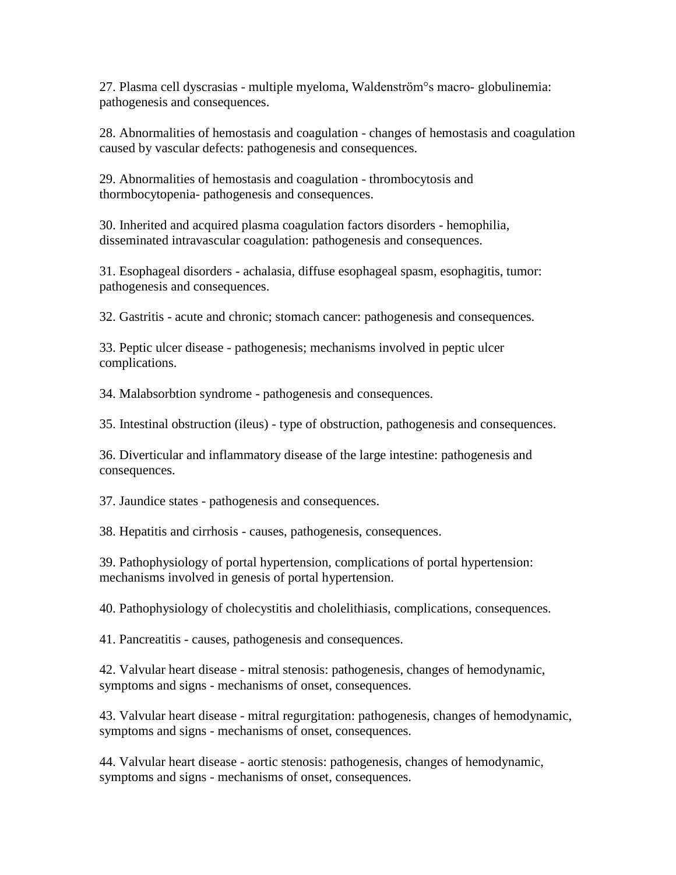27. Plasma cell dyscrasias - multiple myeloma, Waldenström°s macro- globulinemia: pathogenesis and consequences.

28. Abnormalities of hemostasis and coagulation - changes of hemostasis and coagulation caused by vascular defects: pathogenesis and consequences.

29. Abnormalities of hemostasis and coagulation - thrombocytosis and thormbocytopenia- pathogenesis and consequences.

30. Inherited and acquired plasma coagulation factors disorders - hemophilia, disseminated intravascular coagulation: pathogenesis and consequences.

31. Esophageal disorders - achalasia, diffuse esophageal spasm, esophagitis, tumor: pathogenesis and consequences.

32. Gastritis - acute and chronic; stomach cancer: pathogenesis and consequences.

33. Peptic ulcer disease - pathogenesis; mechanisms involved in peptic ulcer complications.

34. Malabsorbtion syndrome - pathogenesis and consequences.

35. Intestinal obstruction (ileus) - type of obstruction, pathogenesis and consequences.

36. Diverticular and inflammatory disease of the large intestine: pathogenesis and consequences.

37. Jaundice states - pathogenesis and consequences.

38. Hepatitis and cirrhosis - causes, pathogenesis, consequences.

39. Pathophysiology of portal hypertension, complications of portal hypertension: mechanisms involved in genesis of portal hypertension.

40. Pathophysiology of cholecystitis and cholelithiasis, complications, consequences.

41. Pancreatitis - causes, pathogenesis and consequences.

42. Valvular heart disease - mitral stenosis: pathogenesis, changes of hemodynamic, symptoms and signs - mechanisms of onset, consequences.

43. Valvular heart disease - mitral regurgitation: pathogenesis, changes of hemodynamic, symptoms and signs - mechanisms of onset, consequences.

44. Valvular heart disease - aortic stenosis: pathogenesis, changes of hemodynamic, symptoms and signs - mechanisms of onset, consequences.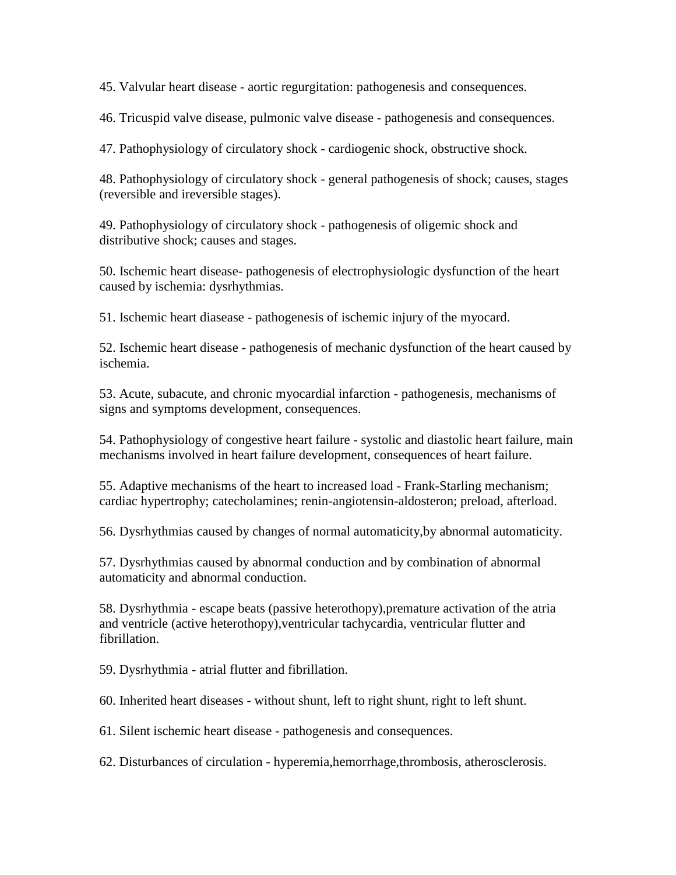45. Valvular heart disease - aortic regurgitation: pathogenesis and consequences.

46. Tricuspid valve disease, pulmonic valve disease - pathogenesis and consequences.

47. Pathophysiology of circulatory shock - cardiogenic shock, obstructive shock.

48. Pathophysiology of circulatory shock - general pathogenesis of shock; causes, stages (reversible and ireversible stages).

49. Pathophysiology of circulatory shock - pathogenesis of oligemic shock and distributive shock; causes and stages.

50. Ischemic heart disease- pathogenesis of electrophysiologic dysfunction of the heart caused by ischemia: dysrhythmias.

51. Ischemic heart diasease - pathogenesis of ischemic injury of the myocard.

52. Ischemic heart disease - pathogenesis of mechanic dysfunction of the heart caused by ischemia.

53. Acute, subacute, and chronic myocardial infarction - pathogenesis, mechanisms of signs and symptoms development, consequences.

54. Pathophysiology of congestive heart failure - systolic and diastolic heart failure, main mechanisms involved in heart failure development, consequences of heart failure.

55. Adaptive mechanisms of the heart to increased load - Frank-Starling mechanism; cardiac hypertrophy; catecholamines; renin-angiotensin-aldosteron; preload, afterload.

56. Dysrhythmias caused by changes of normal automaticity,by abnormal automaticity.

57. Dysrhythmias caused by abnormal conduction and by combination of abnormal automaticity and abnormal conduction.

58. Dysrhythmia - escape beats (passive heterothopy),premature activation of the atria and ventricle (active heterothopy),ventricular tachycardia, ventricular flutter and fibrillation.

59. Dysrhythmia - atrial flutter and fibrillation.

60. Inherited heart diseases - without shunt, left to right shunt, right to left shunt.

61. Silent ischemic heart disease - pathogenesis and consequences.

62. Disturbances of circulation - hyperemia,hemorrhage,thrombosis, atherosclerosis.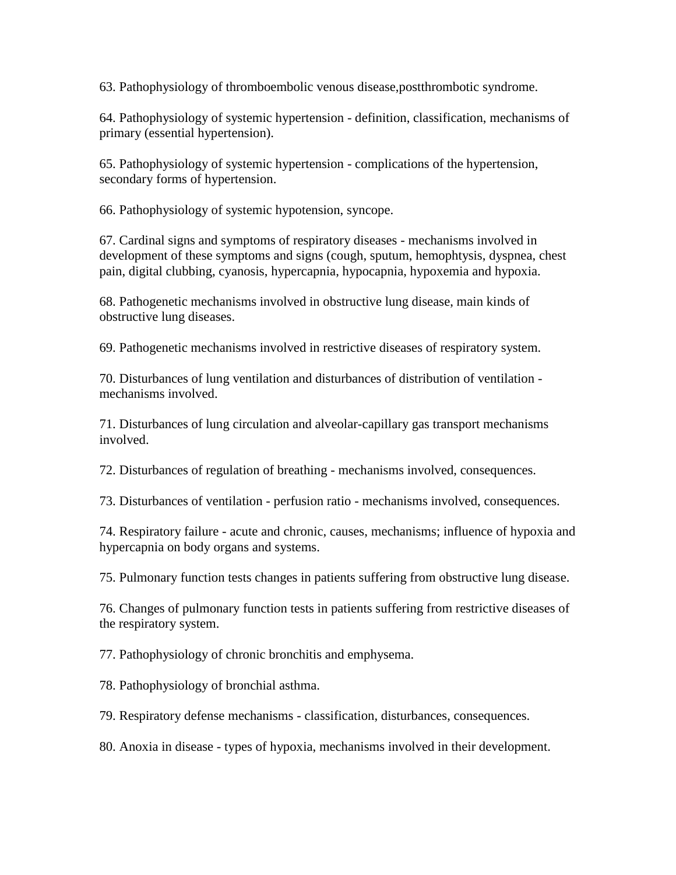63. Pathophysiology of thromboembolic venous disease,postthrombotic syndrome.

64. Pathophysiology of systemic hypertension - definition, classification, mechanisms of primary (essential hypertension).

65. Pathophysiology of systemic hypertension - complications of the hypertension, secondary forms of hypertension.

66. Pathophysiology of systemic hypotension, syncope.

67. Cardinal signs and symptoms of respiratory diseases - mechanisms involved in development of these symptoms and signs (cough, sputum, hemophtysis, dyspnea, chest pain, digital clubbing, cyanosis, hypercapnia, hypocapnia, hypoxemia and hypoxia.

68. Pathogenetic mechanisms involved in obstructive lung disease, main kinds of obstructive lung diseases.

69. Pathogenetic mechanisms involved in restrictive diseases of respiratory system.

70. Disturbances of lung ventilation and disturbances of distribution of ventilation mechanisms involved.

71. Disturbances of lung circulation and alveolar-capillary gas transport mechanisms involved.

72. Disturbances of regulation of breathing - mechanisms involved, consequences.

73. Disturbances of ventilation - perfusion ratio - mechanisms involved, consequences.

74. Respiratory failure - acute and chronic, causes, mechanisms; influence of hypoxia and hypercapnia on body organs and systems.

75. Pulmonary function tests changes in patients suffering from obstructive lung disease.

76. Changes of pulmonary function tests in patients suffering from restrictive diseases of the respiratory system.

77. Pathophysiology of chronic bronchitis and emphysema.

78. Pathophysiology of bronchial asthma.

79. Respiratory defense mechanisms - classification, disturbances, consequences.

80. Anoxia in disease - types of hypoxia, mechanisms involved in their development.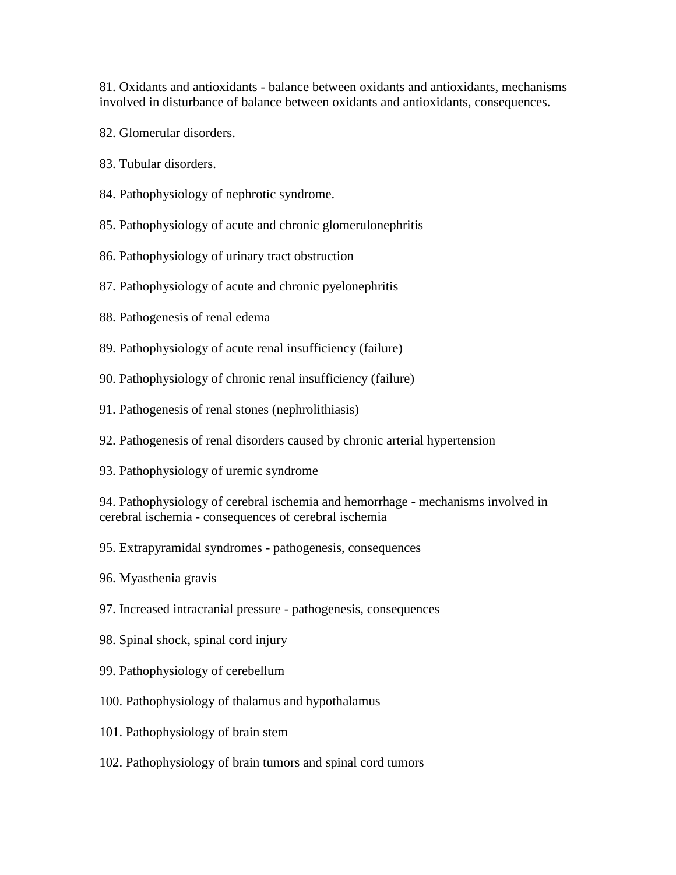81. Oxidants and antioxidants - balance between oxidants and antioxidants, mechanisms involved in disturbance of balance between oxidants and antioxidants, consequences.

- 82. Glomerular disorders.
- 83. Tubular disorders.
- 84. Pathophysiology of nephrotic syndrome.
- 85. Pathophysiology of acute and chronic glomerulonephritis
- 86. Pathophysiology of urinary tract obstruction
- 87. Pathophysiology of acute and chronic pyelonephritis
- 88. Pathogenesis of renal edema
- 89. Pathophysiology of acute renal insufficiency (failure)
- 90. Pathophysiology of chronic renal insufficiency (failure)
- 91. Pathogenesis of renal stones (nephrolithiasis)
- 92. Pathogenesis of renal disorders caused by chronic arterial hypertension
- 93. Pathophysiology of uremic syndrome

94. Pathophysiology of cerebral ischemia and hemorrhage - mechanisms involved in cerebral ischemia - consequences of cerebral ischemia

- 95. Extrapyramidal syndromes pathogenesis, consequences
- 96. Myasthenia gravis
- 97. Increased intracranial pressure pathogenesis, consequences
- 98. Spinal shock, spinal cord injury
- 99. Pathophysiology of cerebellum
- 100. Pathophysiology of thalamus and hypothalamus
- 101. Pathophysiology of brain stem
- 102. Pathophysiology of brain tumors and spinal cord tumors